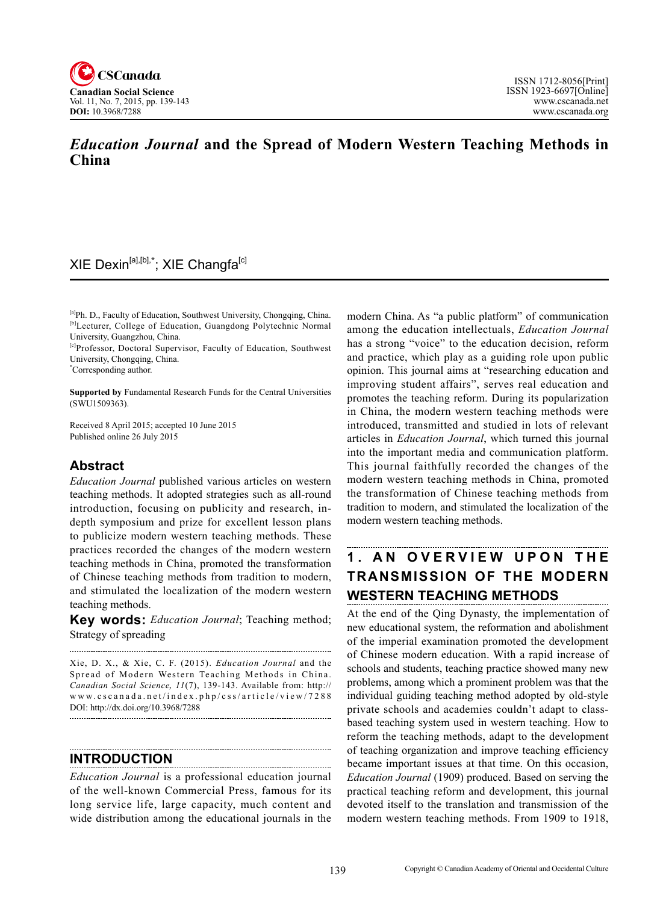

## *Education Journal* **and the Spread of Modern Western Teaching Methods in China**

## XIE Dexin[a],[b],**\*** ; XIE Changfa[c]

[a]Ph. D., Faculty of Education, Southwest University, Chongqing, China. [b]Lecturer, College of Education, Guangdong Polytechnic Normal University, Guangzhou, China.

[c]Professor, Doctoral Supervisor, Faculty of Education, Southwest University, Chongqing, China.

\* Corresponding author.

**Supported by** Fundamental Research Funds for the Central Universities (SWU1509363).

Received 8 April 2015; accepted 10 June 2015 Published online 26 July 2015

## **Abstract**

*Education Journal* published various articles on western teaching methods. It adopted strategies such as all-round introduction, focusing on publicity and research, indepth symposium and prize for excellent lesson plans to publicize modern western teaching methods. These practices recorded the changes of the modern western teaching methods in China, promoted the transformation of Chinese teaching methods from tradition to modern, and stimulated the localization of the modern western teaching methods.

**Key words:** *Education Journal*; Teaching method; Strategy of spreading

Xie, D. X., & Xie, C. F. (2015). *Education Journal* and the Spread of Modern Western Teaching Methods in China. *Canadian Social Science*, <sup>11</sup> (7), 139-143. Available from: http:// www.cscanada.net/index.php/css/article/view/7288 DOI: http://dx.doi.org/10.3968/7288

**INTRODUCTION**

*Education Journal* is a professional education journal of the well-known Commercial Press, famous for its long service life, large capacity, much content and wide distribution among the educational journals in the modern China. As "a public platform" of communication among the education intellectuals, *Education Journal*  has a strong "voice" to the education decision, reform and practice, which play as a guiding role upon public opinion. This journal aims at "researching education and improving student affairs", serves real education and promotes the teaching reform. During its popularization in China, the modern western teaching methods were introduced, transmitted and studied in lots of relevant articles in *Education Journal*, which turned this journal into the important media and communication platform. This journal faithfully recorded the changes of the modern western teaching methods in China, promoted the transformation of Chinese teaching methods from tradition to modern, and stimulated the localization of the modern western teaching methods.

# **1 . A N O V E R V I E W U P O N T H E TRANSMISSION OF THE MODERN WESTERN TEACHING METHODS**

At the end of the Qing Dynasty, the implementation of new educational system, the reformation and abolishment of the imperial examination promoted the development of Chinese modern education. With a rapid increase of schools and students, teaching practice showed many new problems, among which a prominent problem was that the individual guiding teaching method adopted by old-style private schools and academies couldn't adapt to classbased teaching system used in western teaching. How to reform the teaching methods, adapt to the development of teaching organization and improve teaching efficiency became important issues at that time. On this occasion, *Education Journal* (1909) produced. Based on serving the practical teaching reform and development, this journal devoted itself to the translation and transmission of the modern western teaching methods. From 1909 to 1918,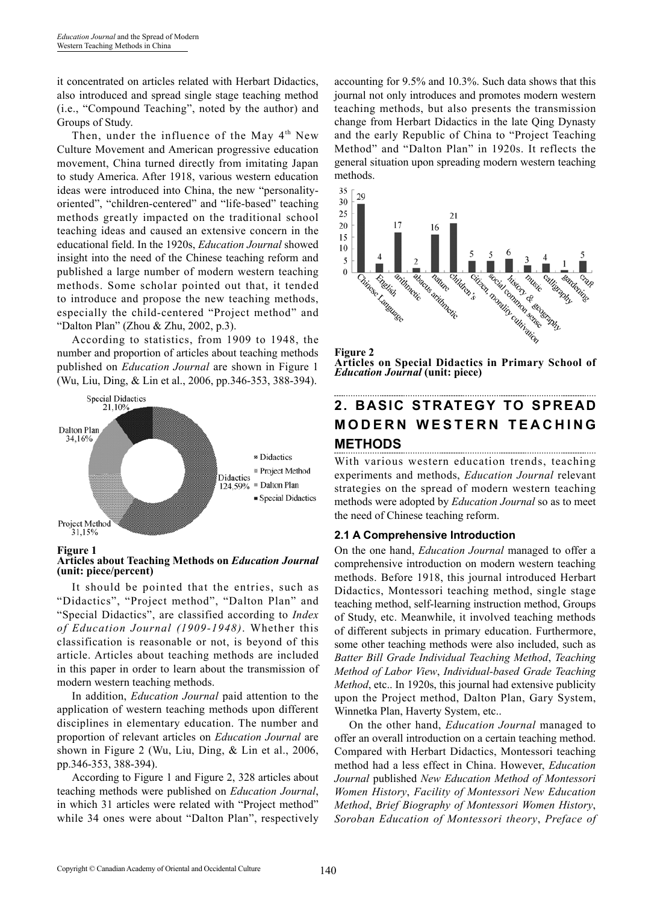it concentrated on articles related with Herbart Didactics, also introduced and spread single stage teaching method (i.e., "Compound Teaching", noted by the author) and Groups of Study.

Then, under the influence of the May  $4<sup>th</sup>$  New Culture Movement and American progressive education movement, China turned directly from imitating Japan to study America. After 1918, various western education ideas were introduced into China, the new "personalityoriented", "children-centered" and "life-based" teaching methods greatly impacted on the traditional school teaching ideas and caused an extensive concern in the educational field. In the 1920s, *Education Journal* showed insight into the need of the Chinese teaching reform and published a large number of modern western teaching methods. Some scholar pointed out that, it tended to introduce and propose the new teaching methods, especially the child-centered "Project method" and "Dalton Plan" (Zhou & Zhu, 2002, p.3).

According to statistics, from 1909 to 1948, the number and proportion of articles about teaching methods published on *Education Journal* are shown in Figure 1 (Wu, Liu, Ding, & Lin et al., 2006, pp.346-353, 388-394).





#### **Articles about Teaching Methods on** *Education Journal* **(unit: piece/percent)**

It should be pointed that the entries, such as "Didactics", "Project method", "Dalton Plan" and "Special Didactics", are classified according to *Index of Education Journal (1909-1948)*. Whether this classification is reasonable or not, is beyond of this article. Articles about teaching methods are included in this paper in order to learn about the transmission of modern western teaching methods.

In addition, *Education Journal* paid attention to the application of western teaching methods upon different disciplines in elementary education. The number and proportion of relevant articles on *Education Journal* are shown in Figure 2 (Wu, Liu, Ding, & Lin et al., 2006, pp.346-353, 388-394).

According to Figure 1 and Figure 2, 328 articles about teaching methods were published on *Education Journal*, in which 31 articles were related with "Project method" while 34 ones were about "Dalton Plan", respectively accounting for 9.5% and 10.3%. Such data shows that this journal not only introduces and promotes modern western teaching methods, but also presents the transmission change from Herbart Didactics in the late Qing Dynasty and the early Republic of China to "Project Teaching Method" and "Dalton Plan" in 1920s. It reflects the general situation upon spreading modern western teaching methods.



**Figure 2 Articles on Special Didactics in Primary School of**  *Education Journal* **(unit: piece)**

# **2. BASIC STRATEGY TO SPREAD MODERN WESTERN TEACHING METHODS**

With various western education trends, teaching experiments and methods, *Education Journal* relevant strategies on the spread of modern western teaching methods were adopted by *Education Journal* so as to meet the need of Chinese teaching reform.

#### **2.1 A Comprehensive Introduction**

On the one hand, *Education Journal* managed to offer a comprehensive introduction on modern western teaching methods. Before 1918, this journal introduced Herbart Didactics, Montessori teaching method, single stage teaching method, self-learning instruction method, Groups of Study, etc. Meanwhile, it involved teaching methods of different subjects in primary education. Furthermore, some other teaching methods were also included, such as *Batter Bill Grade Individual Teaching Method*, *Teaching Method of Labor View*, *Individual-based Grade Teaching Method*, etc.. In 1920s, this journal had extensive publicity upon the Project method, Dalton Plan, Gary System, Winnetka Plan, Haverty System, etc..

On the other hand, *Education Journal* managed to offer an overall introduction on a certain teaching method. Compared with Herbart Didactics, Montessori teaching method had a less effect in China. However, *Education Journal* published *New Education Method of Montessori Women History*, *Facility of Montessori New Education Method*, *Brief Biography of Montessori Women History*, *Soroban Education of Montessori theory*, *Preface of*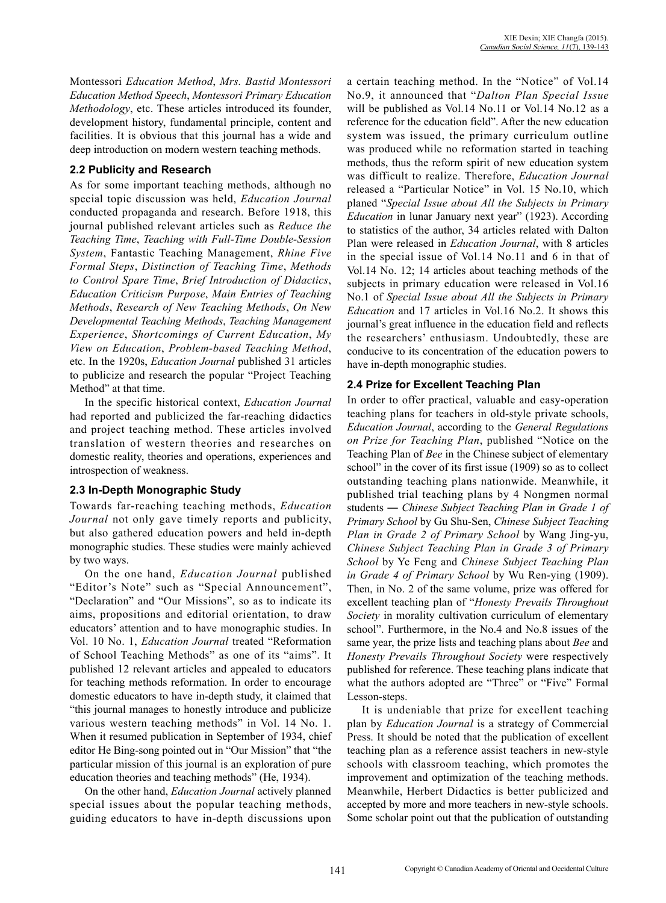Montessori *Education Method*, *Mrs. Bastid Montessori Education Method Speech*, *Montessori Primary Education Methodology*, etc. These articles introduced its founder, development history, fundamental principle, content and facilities. It is obvious that this journal has a wide and deep introduction on modern western teaching methods.

### **2.2 Publicity and Research**

As for some important teaching methods, although no special topic discussion was held, *Education Journal* conducted propaganda and research. Before 1918, this journal published relevant articles such as *Reduce the Teaching Time*, *Teaching with Full-Time Double-Session System*, Fantastic Teaching Management, *Rhine Five Formal Steps*, *Distinction of Teaching Time*, *Methods to Control Spare Time*, *Brief Introduction of Didactics*, *Education Criticism Purpose*, *Main Entries of Teaching Methods*, *Research of New Teaching Methods*, *On New Developmental Teaching Methods*, *Teaching Management Experience*, *Shortcomings of Current Education*, *My View on Education*, *Problem-based Teaching Method*, etc. In the 1920s, *Education Journal* published 31 articles to publicize and research the popular "Project Teaching Method" at that time.

In the specific historical context, *Education Journal*  had reported and publicized the far-reaching didactics and project teaching method. These articles involved translation of western theories and researches on domestic reality, theories and operations, experiences and introspection of weakness.

#### **2.3 In-Depth Monographic Study**

Towards far-reaching teaching methods, *Education Journal* not only gave timely reports and publicity, but also gathered education powers and held in-depth monographic studies. These studies were mainly achieved by two ways.

On the one hand, *Education Journal* published "Editor's Note" such as "Special Announcement", "Declaration" and "Our Missions", so as to indicate its aims, propositions and editorial orientation, to draw educators' attention and to have monographic studies. In Vol. 10 No. 1, *Education Journal* treated "Reformation of School Teaching Methods" as one of its "aims". It published 12 relevant articles and appealed to educators for teaching methods reformation. In order to encourage domestic educators to have in-depth study, it claimed that "this journal manages to honestly introduce and publicize various western teaching methods" in Vol. 14 No. 1. When it resumed publication in September of 1934, chief editor He Bing-song pointed out in "Our Mission" that "the particular mission of this journal is an exploration of pure education theories and teaching methods" (He, 1934).

On the other hand, *Education Journal* actively planned special issues about the popular teaching methods, guiding educators to have in-depth discussions upon a certain teaching method. In the "Notice" of Vol.14 No.9, it announced that "*Dalton Plan Special Issue* will be published as Vol.14 No.11 or Vol.14 No.12 as a reference for the education field". After the new education system was issued, the primary curriculum outline was produced while no reformation started in teaching methods, thus the reform spirit of new education system was difficult to realize. Therefore, *Education Journal*  released a "Particular Notice" in Vol. 15 No.10, which planed "*Special Issue about All the Subjects in Primary Education* in lunar January next year" (1923). According to statistics of the author, 34 articles related with Dalton Plan were released in *Education Journal*, with 8 articles in the special issue of Vol.14 No.11 and 6 in that of Vol.14 No. 12; 14 articles about teaching methods of the subjects in primary education were released in Vol.16 No.1 of *Special Issue about All the Subjects in Primary Education* and 17 articles in Vol.16 No.2. It shows this journal's great influence in the education field and reflects the researchers' enthusiasm. Undoubtedly, these are conducive to its concentration of the education powers to have in-depth monographic studies.

## **2.4 Prize for Excellent Teaching Plan**

In order to offer practical, valuable and easy-operation teaching plans for teachers in old-style private schools, *Education Journal*, according to the *General Regulations on Prize for Teaching Plan*, published "Notice on the Teaching Plan of *Bee* in the Chinese subject of elementary school" in the cover of its first issue (1909) so as to collect outstanding teaching plans nationwide. Meanwhile, it published trial teaching plans by 4 Nongmen normal students ― *Chinese Subject Teaching Plan in Grade 1 of Primary School* by Gu Shu-Sen, *Chinese Subject Teaching Plan in Grade 2 of Primary School* by Wang Jing-yu, *Chinese Subject Teaching Plan in Grade 3 of Primary School* by Ye Feng and *Chinese Subject Teaching Plan in Grade 4 of Primary School* by Wu Ren-ying (1909). Then, in No. 2 of the same volume, prize was offered for excellent teaching plan of "*Honesty Prevails Throughout Society* in morality cultivation curriculum of elementary school". Furthermore, in the No.4 and No.8 issues of the same year, the prize lists and teaching plans about *Bee* and *Honesty Prevails Throughout Society* were respectively published for reference. These teaching plans indicate that what the authors adopted are "Three" or "Five" Formal Lesson-steps.

It is undeniable that prize for excellent teaching plan by *Education Journal* is a strategy of Commercial Press. It should be noted that the publication of excellent teaching plan as a reference assist teachers in new-style schools with classroom teaching, which promotes the improvement and optimization of the teaching methods. Meanwhile, Herbert Didactics is better publicized and accepted by more and more teachers in new-style schools. Some scholar point out that the publication of outstanding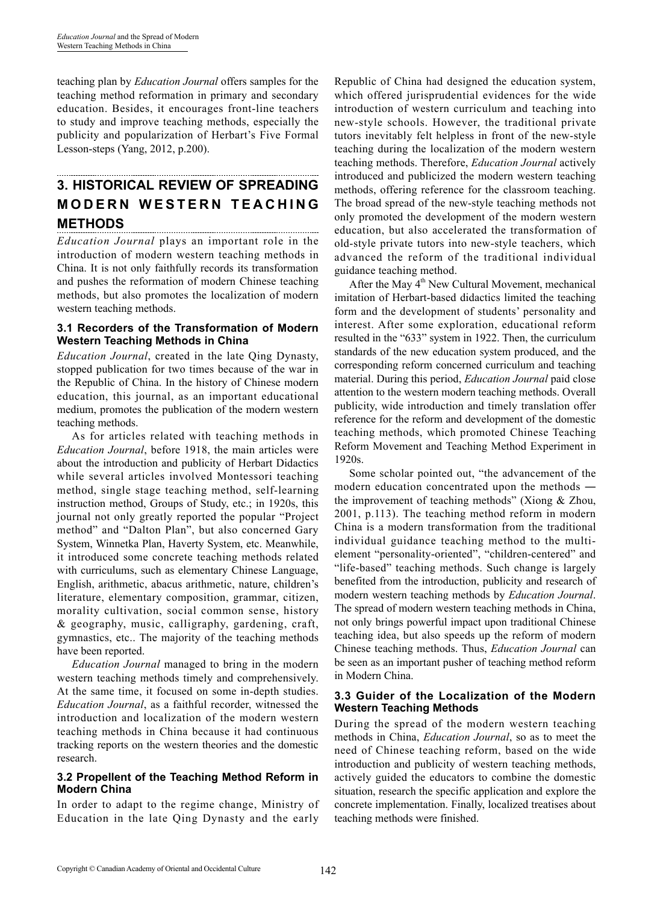teaching plan by *Education Journal* offers samples for the teaching method reformation in primary and secondary education. Besides, it encourages front-line teachers to study and improve teaching methods, especially the publicity and popularization of Herbart's Five Formal Lesson-steps (Yang, 2012, p.200).

## **3. Historical Review of Spreading M odern W estern T eaching Methods**

*Education Journal* plays an important role in the introduction of modern western teaching methods in China. It is not only faithfully records its transformation and pushes the reformation of modern Chinese teaching methods, but also promotes the localization of modern western teaching methods.

#### **3.1 Recorders of the Transformation of Modern Western Teaching Methods in China**

*Education Journal*, created in the late Qing Dynasty, stopped publication for two times because of the war in the Republic of China. In the history of Chinese modern education, this journal, as an important educational medium, promotes the publication of the modern western teaching methods.

As for articles related with teaching methods in *Education Journal*, before 1918, the main articles were about the introduction and publicity of Herbart Didactics while several articles involved Montessori teaching method, single stage teaching method, self-learning instruction method, Groups of Study, etc.; in 1920s, this journal not only greatly reported the popular "Project method" and "Dalton Plan", but also concerned Gary System, Winnetka Plan, Haverty System, etc. Meanwhile, it introduced some concrete teaching methods related with curriculums, such as elementary Chinese Language, English, arithmetic, abacus arithmetic, nature, children's literature, elementary composition, grammar, citizen, morality cultivation, social common sense, history & geography, music, calligraphy, gardening, craft, gymnastics, etc.. The majority of the teaching methods have been reported.

*Education Journal* managed to bring in the modern western teaching methods timely and comprehensively. At the same time, it focused on some in-depth studies. *Education Journal*, as a faithful recorder, witnessed the introduction and localization of the modern western teaching methods in China because it had continuous tracking reports on the western theories and the domestic research.

#### **3.2 Propellent of the Teaching Method Reform in Modern China**

In order to adapt to the regime change, Ministry of Education in the late Qing Dynasty and the early

Republic of China had designed the education system, which offered jurisprudential evidences for the wide introduction of western curriculum and teaching into new-style schools. However, the traditional private tutors inevitably felt helpless in front of the new-style teaching during the localization of the modern western teaching methods. Therefore, *Education Journal* actively introduced and publicized the modern western teaching methods, offering reference for the classroom teaching. The broad spread of the new-style teaching methods not only promoted the development of the modern western education, but also accelerated the transformation of old-style private tutors into new-style teachers, which advanced the reform of the traditional individual guidance teaching method.

After the May  $4<sup>th</sup>$  New Cultural Movement, mechanical imitation of Herbart-based didactics limited the teaching form and the development of students' personality and interest. After some exploration, educational reform resulted in the "633" system in 1922. Then, the curriculum standards of the new education system produced, and the corresponding reform concerned curriculum and teaching material. During this period, *Education Journal* paid close attention to the western modern teaching methods. Overall publicity, wide introduction and timely translation offer reference for the reform and development of the domestic teaching methods, which promoted Chinese Teaching Reform Movement and Teaching Method Experiment in 1920s.

Some scholar pointed out, "the advancement of the modern education concentrated upon the methods ― the improvement of teaching methods" (Xiong & Zhou, 2001, p.113). The teaching method reform in modern China is a modern transformation from the traditional individual guidance teaching method to the multielement "personality-oriented", "children-centered" and "life-based" teaching methods. Such change is largely benefited from the introduction, publicity and research of modern western teaching methods by *Education Journal*. The spread of modern western teaching methods in China, not only brings powerful impact upon traditional Chinese teaching idea, but also speeds up the reform of modern Chinese teaching methods. Thus, *Education Journal* can be seen as an important pusher of teaching method reform in Modern China.

#### **3.3 Guider of the Localization of the Modern Western Teaching Methods**

During the spread of the modern western teaching methods in China, *Education Journal*, so as to meet the need of Chinese teaching reform, based on the wide introduction and publicity of western teaching methods, actively guided the educators to combine the domestic situation, research the specific application and explore the concrete implementation. Finally, localized treatises about teaching methods were finished.